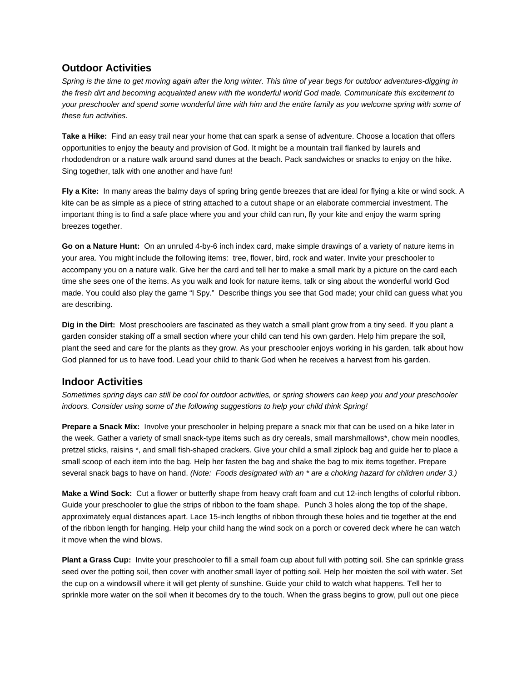## **Outdoor Activities**

*Spring is the time to get moving again after the long winter. This time of year begs for outdoor adventures-digging in the fresh dirt and becoming acquainted anew with the wonderful world God made. Communicate this excitement to your preschooler and spend some wonderful time with him and the entire family as you welcome spring with some of these fun activities*.

**Take a Hike:** Find an easy trail near your home that can spark a sense of adventure. Choose a location that offers opportunities to enjoy the beauty and provision of God. It might be a mountain trail flanked by laurels and rhododendron or a nature walk around sand dunes at the beach. Pack sandwiches or snacks to enjoy on the hike. Sing together, talk with one another and have fun!

**Fly a Kite:** In many areas the balmy days of spring bring gentle breezes that are ideal for flying a kite or wind sock. A kite can be as simple as a piece of string attached to a cutout shape or an elaborate commercial investment. The important thing is to find a safe place where you and your child can run, fly your kite and enjoy the warm spring breezes together.

**Go on a Nature Hunt:** On an unruled 4-by-6 inch index card, make simple drawings of a variety of nature items in your area. You might include the following items: tree, flower, bird, rock and water. Invite your preschooler to accompany you on a nature walk. Give her the card and tell her to make a small mark by a picture on the card each time she sees one of the items. As you walk and look for nature items, talk or sing about the wonderful world God made. You could also play the game "I Spy." Describe things you see that God made; your child can guess what you are describing.

**Dig in the Dirt:** Most preschoolers are fascinated as they watch a small plant grow from a tiny seed. If you plant a garden consider staking off a small section where your child can tend his own garden. Help him prepare the soil, plant the seed and care for the plants as they grow. As your preschooler enjoys working in his garden, talk about how God planned for us to have food. Lead your child to thank God when he receives a harvest from his garden.

## **Indoor Activities**

*Sometimes spring days can still be cool for outdoor activities, or spring showers can keep you and your preschooler indoors. Consider using some of the following suggestions to help your child think Spring!*

**Prepare a Snack Mix:** Involve your preschooler in helping prepare a snack mix that can be used on a hike later in the week. Gather a variety of small snack-type items such as dry cereals, small marshmallows\*, chow mein noodles, pretzel sticks, raisins \*, and small fish-shaped crackers. Give your child a small ziplock bag and guide her to place a small scoop of each item into the bag. Help her fasten the bag and shake the bag to mix items together. Prepare several snack bags to have on hand. *(Note: Foods designated with an \* are a choking hazard for children under 3.)*

**Make a Wind Sock:** Cut a flower or butterfly shape from heavy craft foam and cut 12-inch lengths of colorful ribbon. Guide your preschooler to glue the strips of ribbon to the foam shape. Punch 3 holes along the top of the shape, approximately equal distances apart. Lace 15-inch lengths of ribbon through these holes and tie together at the end of the ribbon length for hanging. Help your child hang the wind sock on a porch or covered deck where he can watch it move when the wind blows.

**Plant a Grass Cup:** Invite your preschooler to fill a small foam cup about full with potting soil. She can sprinkle grass seed over the potting soil, then cover with another small layer of potting soil. Help her moisten the soil with water. Set the cup on a windowsill where it will get plenty of sunshine. Guide your child to watch what happens. Tell her to sprinkle more water on the soil when it becomes dry to the touch. When the grass begins to grow, pull out one piece